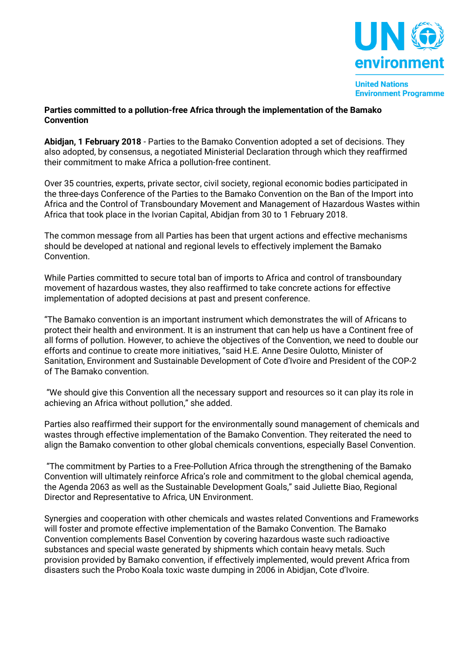

## **Parties committed to a pollution-free Africa through the implementation of the Bamako Convention**

**Abidjan, 1 February 2018** - Parties to the Bamako Convention adopted a set of decisions. They also adopted, by consensus, a negotiated Ministerial Declaration through which they reaffirmed their commitment to make Africa a pollution-free continent.

Over 35 countries, experts, private sector, civil society, regional economic bodies participated in the three-days Conference of the Parties to the Bamako Convention on the Ban of the Import into Africa and the Control of Transboundary Movement and Management of Hazardous Wastes within Africa that took place in the Ivorian Capital, Abidjan from 30 to 1 February 2018.

The common message from all Parties has been that urgent actions and effective mechanisms should be developed at national and regional levels to effectively implement the Bamako Convention.

While Parties committed to secure total ban of imports to Africa and control of transboundary movement of hazardous wastes, they also reaffirmed to take concrete actions for effective implementation of adopted decisions at past and present conference.

"The Bamako convention is an important instrument which demonstrates the will of Africans to protect their health and environment. It is an instrument that can help us have a Continent free of all forms of pollution. However, to achieve the objectives of the Convention, we need to double our efforts and continue to create more initiatives, "said H.E. Anne Desire Oulotto, Minister of Sanitation, Environment and Sustainable Development of Cote d'Ivoire and President of the COP-2 of The Bamako convention.

"We should give this Convention all the necessary support and resources so it can play its role in achieving an Africa without pollution," she added.

Parties also reaffirmed their support for the environmentally sound management of chemicals and wastes through effective implementation of the Bamako Convention. They reiterated the need to align the Bamako convention to other global chemicals conventions, especially Basel Convention.

"The commitment by Parties to a Free-Pollution Africa through the strengthening of the Bamako Convention will ultimately reinforce Africa's role and commitment to the global chemical agenda, the Agenda 2063 as well as the Sustainable Development Goals," said Juliette Biao, Regional Director and Representative to Africa, UN Environment.

Synergies and cooperation with other chemicals and wastes related Conventions and Frameworks will foster and promote effective implementation of the Bamako Convention. The Bamako Convention complements Basel Convention by covering hazardous waste such radioactive substances and special waste generated by shipments which contain heavy metals. Such provision provided by Bamako convention, if effectively implemented, would prevent Africa from disasters such the Probo Koala toxic waste dumping in 2006 in Abidjan, Cote d'Ivoire.